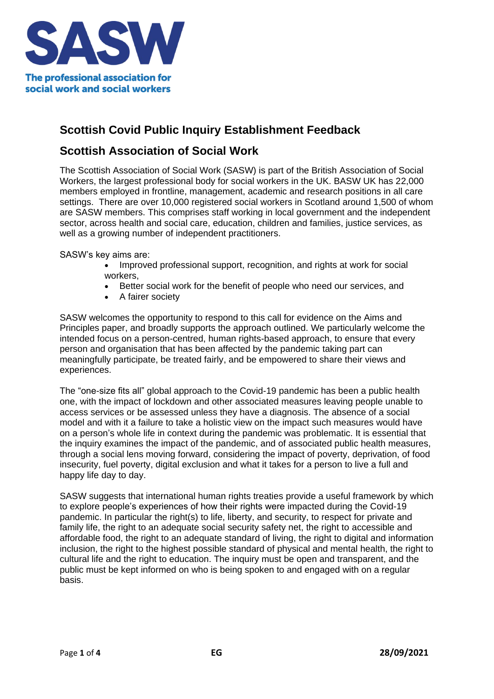

## **Scottish Covid Public Inquiry Establishment Feedback**

## **Scottish Association of Social Work**

The Scottish Association of Social Work (SASW) is part of the British Association of Social Workers, the largest professional body for social workers in the UK. BASW UK has 22,000 members employed in frontline, management, academic and research positions in all care settings. There are over 10,000 registered social workers in Scotland around 1,500 of whom are SASW members. This comprises staff working in local government and the independent sector, across health and social care, education, children and families, justice services, as well as a growing number of independent practitioners.

SASW's key aims are:

- Improved professional support, recognition, and rights at work for social workers,
- Better social work for the benefit of people who need our services, and
- A fairer society

SASW welcomes the opportunity to respond to this call for evidence on the Aims and Principles paper, and broadly supports the approach outlined. We particularly welcome the intended focus on a person-centred, human rights-based approach, to ensure that every person and organisation that has been affected by the pandemic taking part can meaningfully participate, be treated fairly, and be empowered to share their views and experiences.

The "one-size fits all" global approach to the Covid-19 pandemic has been a public health one, with the impact of lockdown and other associated measures leaving people unable to access services or be assessed unless they have a diagnosis. The absence of a social model and with it a failure to take a holistic view on the impact such measures would have on a person's whole life in context during the pandemic was problematic. It is essential that the inquiry examines the impact of the pandemic, and of associated public health measures, through a social lens moving forward, considering the impact of poverty, deprivation, of food insecurity, fuel poverty, digital exclusion and what it takes for a person to live a full and happy life day to day.

SASW suggests that international human rights treaties provide a useful framework by which to explore people's experiences of how their rights were impacted during the Covid-19 pandemic. In particular the right(s) to life, liberty, and security, to respect for private and family life, the right to an adequate social security safety net, the right to accessible and affordable food, the right to an adequate standard of living, the right to digital and information inclusion, the right to the highest possible standard of physical and mental health, the right to cultural life and the right to education. The inquiry must be open and transparent, and the public must be kept informed on who is being spoken to and engaged with on a regular basis.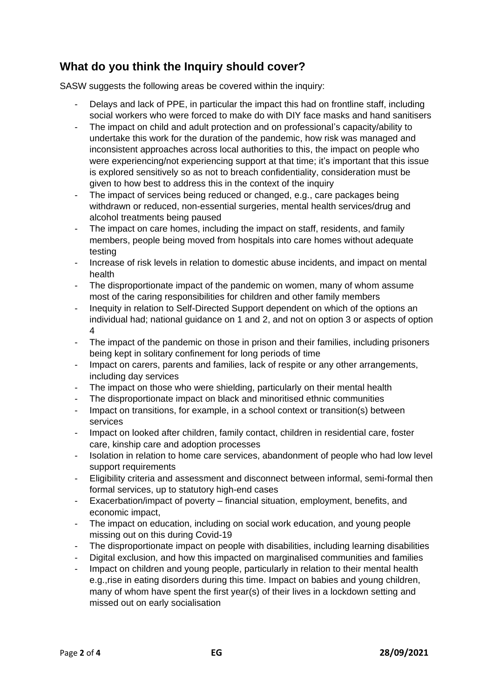## **What do you think the Inquiry should cover?**

SASW suggests the following areas be covered within the inquiry:

- Delays and lack of PPE, in particular the impact this had on frontline staff, including social workers who were forced to make do with DIY face masks and hand sanitisers
- The impact on child and adult protection and on professional's capacity/ability to undertake this work for the duration of the pandemic, how risk was managed and inconsistent approaches across local authorities to this, the impact on people who were experiencing/not experiencing support at that time; it's important that this issue is explored sensitively so as not to breach confidentiality, consideration must be given to how best to address this in the context of the inquiry
- The impact of services being reduced or changed, e.g., care packages being withdrawn or reduced, non-essential surgeries, mental health services/drug and alcohol treatments being paused
- The impact on care homes, including the impact on staff, residents, and family members, people being moved from hospitals into care homes without adequate testing
- Increase of risk levels in relation to domestic abuse incidents, and impact on mental health
- The disproportionate impact of the pandemic on women, many of whom assume most of the caring responsibilities for children and other family members
- Inequity in relation to Self-Directed Support dependent on which of the options an individual had; national guidance on 1 and 2, and not on option 3 or aspects of option 4
- The impact of the pandemic on those in prison and their families, including prisoners being kept in solitary confinement for long periods of time
- Impact on carers, parents and families, lack of respite or any other arrangements, including day services
- The impact on those who were shielding, particularly on their mental health
- The disproportionate impact on black and minoritised ethnic communities
- Impact on transitions, for example, in a school context or transition(s) between services
- Impact on looked after children, family contact, children in residential care, foster care, kinship care and adoption processes
- Isolation in relation to home care services, abandonment of people who had low level support requirements
- Eligibility criteria and assessment and disconnect between informal, semi-formal then formal services, up to statutory high-end cases
- Exacerbation/impact of poverty financial situation, employment, benefits, and economic impact,
- The impact on education, including on social work education, and young people missing out on this during Covid-19
- The disproportionate impact on people with disabilities, including learning disabilities
- Digital exclusion, and how this impacted on marginalised communities and families
- Impact on children and young people, particularly in relation to their mental health e.g.,rise in eating disorders during this time. Impact on babies and young children, many of whom have spent the first year(s) of their lives in a lockdown setting and missed out on early socialisation